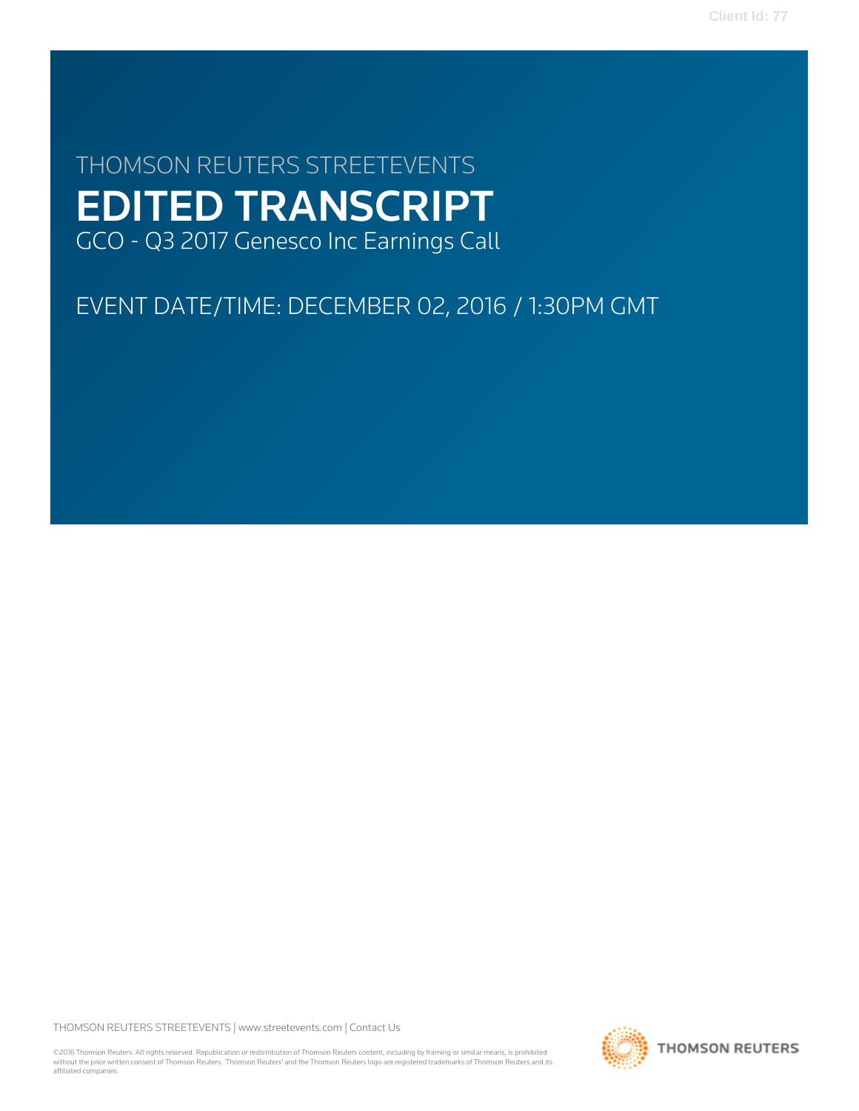**Client Id: 77**

# THOMSON REUTERS STREETEVENTS EDITED TRANSCRIPT GCO - Q3 2017 Genesco Inc Earnings Call

# EVENT DATE/TIME: DECEMBER 02, 2016 / 1:30PM GMT

THOMSON REUTERS STREETEVENTS | [www.streetevents.com](http://www.streetevents.com) | [Contact Us](http://www010.streetevents.com/contact.asp)

©2016 Thomson Reuters. All rights reserved. Republication or redistribution of Thomson Reuters content, including by framing or similar means, is prohibited without the prior written consent of Thomson Reuters. 'Thomson Reuters' and the Thomson Reuters logo are registered trademarks of Thomson Reuters and its affiliated companies.

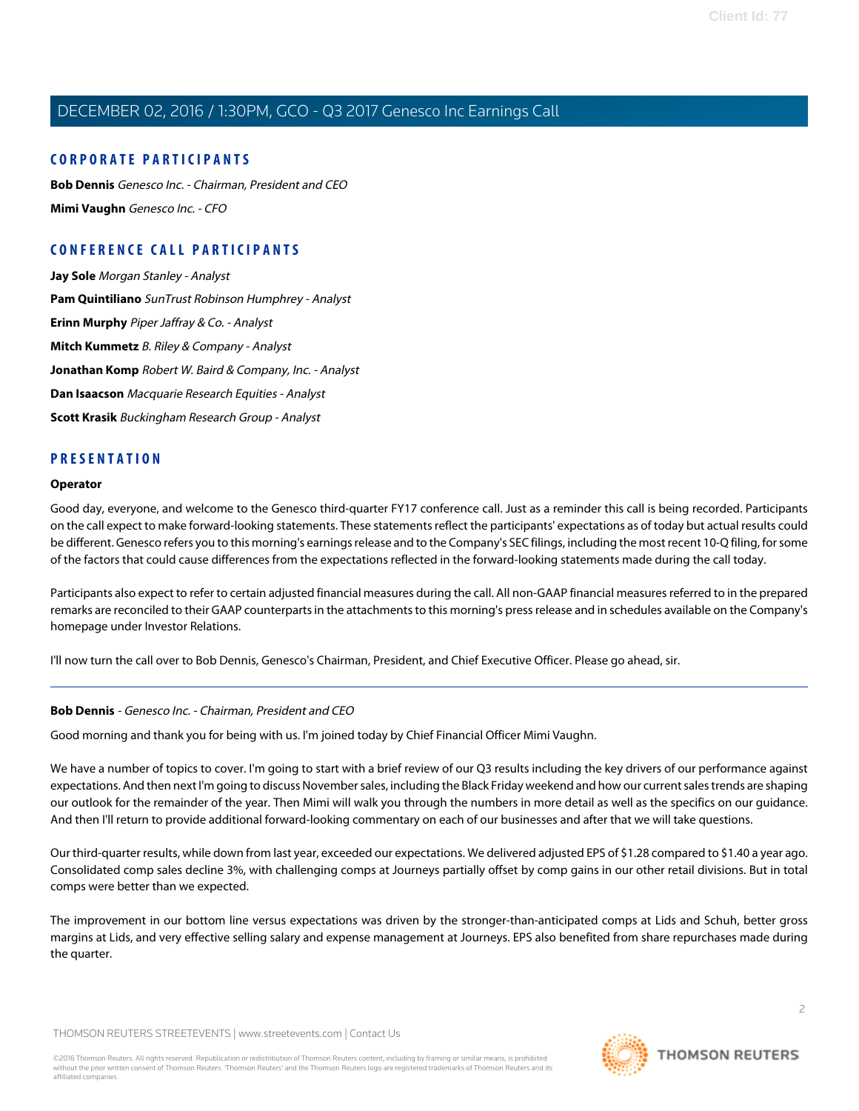#### **CORPORATE PARTICIPANTS**

**[Bob Dennis](#page-1-0)** Genesco Inc. - Chairman, President and CEO **[Mimi Vaughn](#page-3-0)** Genesco Inc. - CFO

### **CONFERENCE CALL PARTICIPANTS**

**[Jay Sole](#page-7-0)** Morgan Stanley - Analyst **[Pam Quintiliano](#page-8-0)** SunTrust Robinson Humphrey - Analyst **[Erinn Murphy](#page-9-0)** Piper Jaffray & Co. - Analyst **[Mitch Kummetz](#page-10-0)** B. Riley & Company - Analyst **[Jonathan Komp](#page-11-0)** Robert W. Baird & Company, Inc. - Analyst **[Dan Isaacson](#page-12-0)** Macquarie Research Equities - Analyst **[Scott Krasik](#page-13-0)** Buckingham Research Group - Analyst

#### **PRESENTATION**

#### **Operator**

Good day, everyone, and welcome to the Genesco third-quarter FY17 conference call. Just as a reminder this call is being recorded. Participants on the call expect to make forward-looking statements. These statements reflect the participants' expectations as of today but actual results could be different. Genesco refers you to this morning's earnings release and to the Company's SEC filings, including the most recent 10-Q filing, for some of the factors that could cause differences from the expectations reflected in the forward-looking statements made during the call today.

Participants also expect to refer to certain adjusted financial measures during the call. All non-GAAP financial measures referred to in the prepared remarks are reconciled to their GAAP counterparts in the attachments to this morning's press release and in schedules available on the Company's homepage under Investor Relations.

<span id="page-1-0"></span>I'll now turn the call over to Bob Dennis, Genesco's Chairman, President, and Chief Executive Officer. Please go ahead, sir.

#### **Bob Dennis** - Genesco Inc. - Chairman, President and CEO

Good morning and thank you for being with us. I'm joined today by Chief Financial Officer Mimi Vaughn.

We have a number of topics to cover. I'm going to start with a brief review of our Q3 results including the key drivers of our performance against expectations. And then next I'm going to discuss November sales, including the Black Friday weekend and how our current sales trends are shaping our outlook for the remainder of the year. Then Mimi will walk you through the numbers in more detail as well as the specifics on our guidance. And then I'll return to provide additional forward-looking commentary on each of our businesses and after that we will take questions.

Our third-quarter results, while down from last year, exceeded our expectations. We delivered adjusted EPS of \$1.28 compared to \$1.40 a year ago. Consolidated comp sales decline 3%, with challenging comps at Journeys partially offset by comp gains in our other retail divisions. But in total comps were better than we expected.

The improvement in our bottom line versus expectations was driven by the stronger-than-anticipated comps at Lids and Schuh, better gross margins at Lids, and very effective selling salary and expense management at Journeys. EPS also benefited from share repurchases made during the quarter.

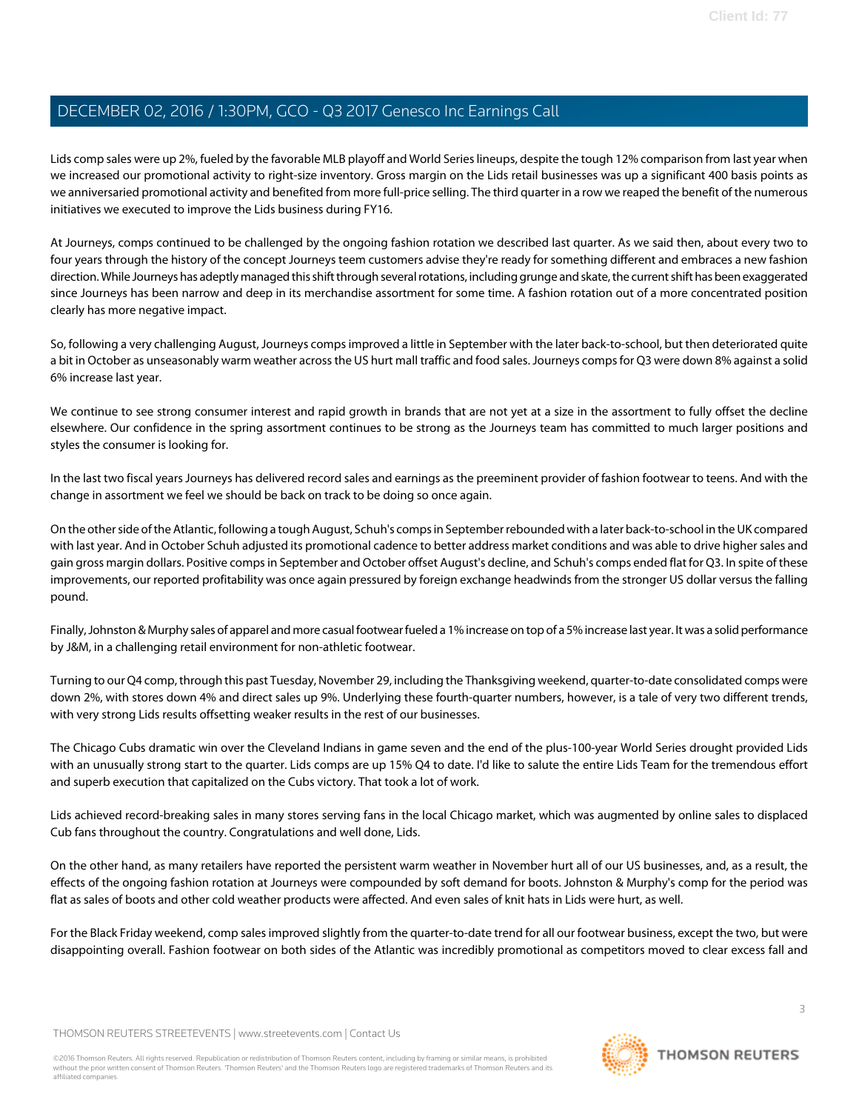Lids comp sales were up 2%, fueled by the favorable MLB playoff and World Series lineups, despite the tough 12% comparison from last year when we increased our promotional activity to right-size inventory. Gross margin on the Lids retail businesses was up a significant 400 basis points as we anniversaried promotional activity and benefited from more full-price selling. The third quarter in a row we reaped the benefit of the numerous initiatives we executed to improve the Lids business during FY16.

At Journeys, comps continued to be challenged by the ongoing fashion rotation we described last quarter. As we said then, about every two to four years through the history of the concept Journeys teem customers advise they're ready for something different and embraces a new fashion direction. While Journeys has adeptly managed this shift through several rotations, including grunge and skate, the current shift has been exaggerated since Journeys has been narrow and deep in its merchandise assortment for some time. A fashion rotation out of a more concentrated position clearly has more negative impact.

So, following a very challenging August, Journeys comps improved a little in September with the later back-to-school, but then deteriorated quite a bit in October as unseasonably warm weather across the US hurt mall traffic and food sales. Journeys comps for Q3 were down 8% against a solid 6% increase last year.

We continue to see strong consumer interest and rapid growth in brands that are not yet at a size in the assortment to fully offset the decline elsewhere. Our confidence in the spring assortment continues to be strong as the Journeys team has committed to much larger positions and styles the consumer is looking for.

In the last two fiscal years Journeys has delivered record sales and earnings as the preeminent provider of fashion footwear to teens. And with the change in assortment we feel we should be back on track to be doing so once again.

On the other side of the Atlantic, following a tough August, Schuh's comps in September rebounded with a later back-to-school in the UK compared with last year. And in October Schuh adjusted its promotional cadence to better address market conditions and was able to drive higher sales and gain gross margin dollars. Positive comps in September and October offset August's decline, and Schuh's comps ended flat for Q3. In spite of these improvements, our reported profitability was once again pressured by foreign exchange headwinds from the stronger US dollar versus the falling pound.

Finally, Johnston & Murphy sales of apparel and more casual footwear fueled a 1% increase on top of a 5% increase last year. It was a solid performance by J&M, in a challenging retail environment for non-athletic footwear.

Turning to our Q4 comp, through this past Tuesday, November 29, including the Thanksgiving weekend, quarter-to-date consolidated comps were down 2%, with stores down 4% and direct sales up 9%. Underlying these fourth-quarter numbers, however, is a tale of very two different trends, with very strong Lids results offsetting weaker results in the rest of our businesses.

The Chicago Cubs dramatic win over the Cleveland Indians in game seven and the end of the plus-100-year World Series drought provided Lids with an unusually strong start to the quarter. Lids comps are up 15% Q4 to date. I'd like to salute the entire Lids Team for the tremendous effort and superb execution that capitalized on the Cubs victory. That took a lot of work.

Lids achieved record-breaking sales in many stores serving fans in the local Chicago market, which was augmented by online sales to displaced Cub fans throughout the country. Congratulations and well done, Lids.

On the other hand, as many retailers have reported the persistent warm weather in November hurt all of our US businesses, and, as a result, the effects of the ongoing fashion rotation at Journeys were compounded by soft demand for boots. Johnston & Murphy's comp for the period was flat as sales of boots and other cold weather products were affected. And even sales of knit hats in Lids were hurt, as well.

For the Black Friday weekend, comp sales improved slightly from the quarter-to-date trend for all our footwear business, except the two, but were disappointing overall. Fashion footwear on both sides of the Atlantic was incredibly promotional as competitors moved to clear excess fall and

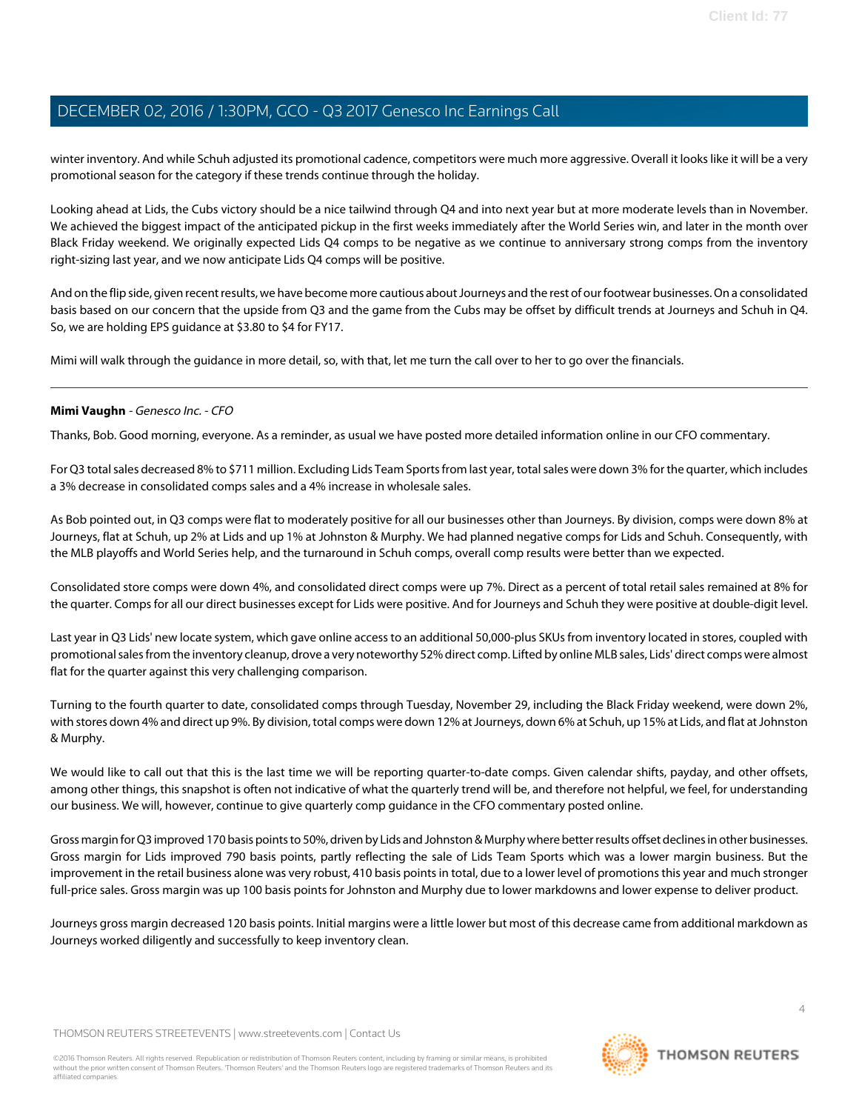winter inventory. And while Schuh adjusted its promotional cadence, competitors were much more aggressive. Overall it looks like it will be a very promotional season for the category if these trends continue through the holiday.

Looking ahead at Lids, the Cubs victory should be a nice tailwind through Q4 and into next year but at more moderate levels than in November. We achieved the biggest impact of the anticipated pickup in the first weeks immediately after the World Series win, and later in the month over Black Friday weekend. We originally expected Lids Q4 comps to be negative as we continue to anniversary strong comps from the inventory right-sizing last year, and we now anticipate Lids Q4 comps will be positive.

And on the flip side, given recent results, we have become more cautious about Journeys and the rest of our footwear businesses. On a consolidated basis based on our concern that the upside from Q3 and the game from the Cubs may be offset by difficult trends at Journeys and Schuh in Q4. So, we are holding EPS guidance at \$3.80 to \$4 for FY17.

<span id="page-3-0"></span>Mimi will walk through the guidance in more detail, so, with that, let me turn the call over to her to go over the financials.

#### **Mimi Vaughn** - Genesco Inc. - CFO

Thanks, Bob. Good morning, everyone. As a reminder, as usual we have posted more detailed information online in our CFO commentary.

For Q3 total sales decreased 8% to \$711 million. Excluding Lids Team Sports from last year, total sales were down 3% for the quarter, which includes a 3% decrease in consolidated comps sales and a 4% increase in wholesale sales.

As Bob pointed out, in Q3 comps were flat to moderately positive for all our businesses other than Journeys. By division, comps were down 8% at Journeys, flat at Schuh, up 2% at Lids and up 1% at Johnston & Murphy. We had planned negative comps for Lids and Schuh. Consequently, with the MLB playoffs and World Series help, and the turnaround in Schuh comps, overall comp results were better than we expected.

Consolidated store comps were down 4%, and consolidated direct comps were up 7%. Direct as a percent of total retail sales remained at 8% for the quarter. Comps for all our direct businesses except for Lids were positive. And for Journeys and Schuh they were positive at double-digit level.

Last year in Q3 Lids' new locate system, which gave online access to an additional 50,000-plus SKUs from inventory located in stores, coupled with promotional sales from the inventory cleanup, drove a very noteworthy 52% direct comp. Lifted by online MLB sales, Lids' direct comps were almost flat for the quarter against this very challenging comparison.

Turning to the fourth quarter to date, consolidated comps through Tuesday, November 29, including the Black Friday weekend, were down 2%, with stores down 4% and direct up 9%. By division, total comps were down 12% at Journeys, down 6% at Schuh, up 15% at Lids, and flat at Johnston & Murphy.

We would like to call out that this is the last time we will be reporting quarter-to-date comps. Given calendar shifts, payday, and other offsets, among other things, this snapshot is often not indicative of what the quarterly trend will be, and therefore not helpful, we feel, for understanding our business. We will, however, continue to give quarterly comp guidance in the CFO commentary posted online.

Gross margin for Q3 improved 170 basis points to 50%, driven by Lids and Johnston & Murphy where better results offset declines in other businesses. Gross margin for Lids improved 790 basis points, partly reflecting the sale of Lids Team Sports which was a lower margin business. But the improvement in the retail business alone was very robust, 410 basis points in total, due to a lower level of promotions this year and much stronger full-price sales. Gross margin was up 100 basis points for Johnston and Murphy due to lower markdowns and lower expense to deliver product.

Journeys gross margin decreased 120 basis points. Initial margins were a little lower but most of this decrease came from additional markdown as Journeys worked diligently and successfully to keep inventory clean.

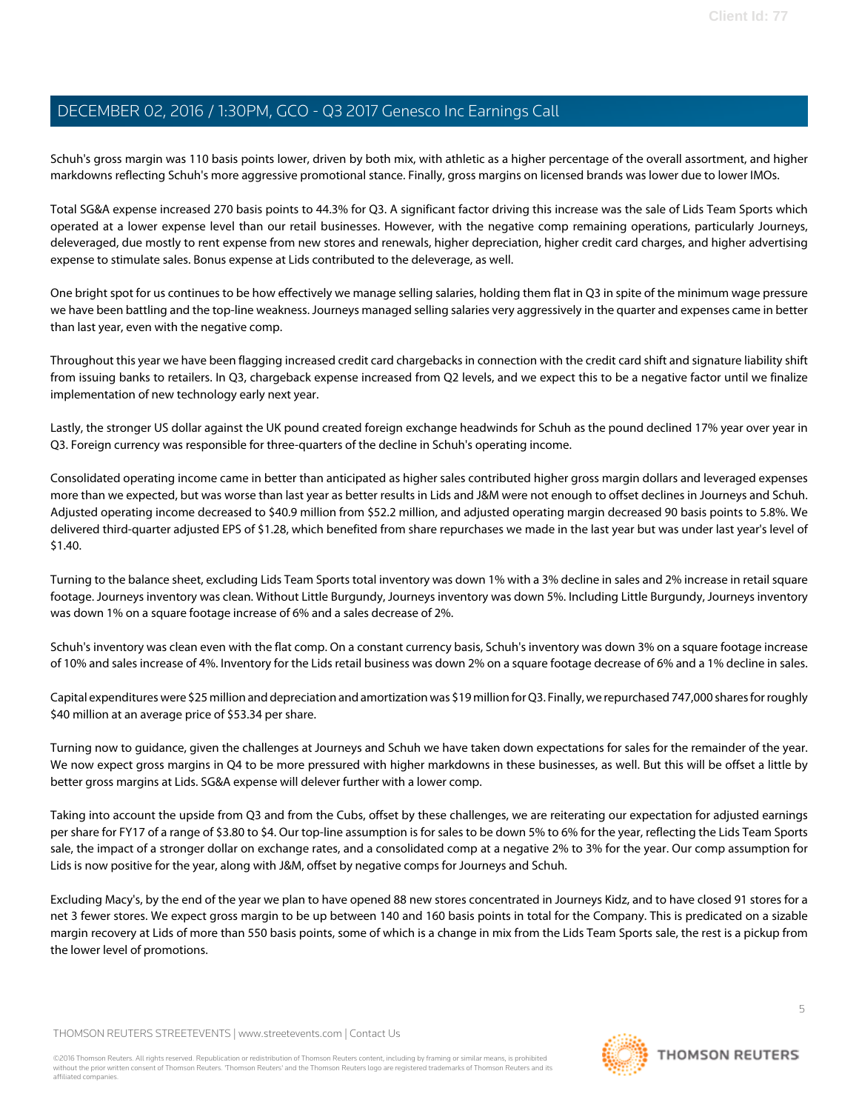Schuh's gross margin was 110 basis points lower, driven by both mix, with athletic as a higher percentage of the overall assortment, and higher markdowns reflecting Schuh's more aggressive promotional stance. Finally, gross margins on licensed brands was lower due to lower IMOs.

Total SG&A expense increased 270 basis points to 44.3% for Q3. A significant factor driving this increase was the sale of Lids Team Sports which operated at a lower expense level than our retail businesses. However, with the negative comp remaining operations, particularly Journeys, deleveraged, due mostly to rent expense from new stores and renewals, higher depreciation, higher credit card charges, and higher advertising expense to stimulate sales. Bonus expense at Lids contributed to the deleverage, as well.

One bright spot for us continues to be how effectively we manage selling salaries, holding them flat in Q3 in spite of the minimum wage pressure we have been battling and the top-line weakness. Journeys managed selling salaries very aggressively in the quarter and expenses came in better than last year, even with the negative comp.

Throughout this year we have been flagging increased credit card chargebacks in connection with the credit card shift and signature liability shift from issuing banks to retailers. In Q3, chargeback expense increased from Q2 levels, and we expect this to be a negative factor until we finalize implementation of new technology early next year.

Lastly, the stronger US dollar against the UK pound created foreign exchange headwinds for Schuh as the pound declined 17% year over year in Q3. Foreign currency was responsible for three-quarters of the decline in Schuh's operating income.

Consolidated operating income came in better than anticipated as higher sales contributed higher gross margin dollars and leveraged expenses more than we expected, but was worse than last year as better results in Lids and J&M were not enough to offset declines in Journeys and Schuh. Adjusted operating income decreased to \$40.9 million from \$52.2 million, and adjusted operating margin decreased 90 basis points to 5.8%. We delivered third-quarter adjusted EPS of \$1.28, which benefited from share repurchases we made in the last year but was under last year's level of \$1.40.

Turning to the balance sheet, excluding Lids Team Sports total inventory was down 1% with a 3% decline in sales and 2% increase in retail square footage. Journeys inventory was clean. Without Little Burgundy, Journeys inventory was down 5%. Including Little Burgundy, Journeys inventory was down 1% on a square footage increase of 6% and a sales decrease of 2%.

Schuh's inventory was clean even with the flat comp. On a constant currency basis, Schuh's inventory was down 3% on a square footage increase of 10% and sales increase of 4%. Inventory for the Lids retail business was down 2% on a square footage decrease of 6% and a 1% decline in sales.

Capital expenditures were \$25 million and depreciation and amortization was \$19 million for Q3. Finally, we repurchased 747,000 shares for roughly \$40 million at an average price of \$53.34 per share.

Turning now to guidance, given the challenges at Journeys and Schuh we have taken down expectations for sales for the remainder of the year. We now expect gross margins in Q4 to be more pressured with higher markdowns in these businesses, as well. But this will be offset a little by better gross margins at Lids. SG&A expense will delever further with a lower comp.

Taking into account the upside from Q3 and from the Cubs, offset by these challenges, we are reiterating our expectation for adjusted earnings per share for FY17 of a range of \$3.80 to \$4. Our top-line assumption is for sales to be down 5% to 6% for the year, reflecting the Lids Team Sports sale, the impact of a stronger dollar on exchange rates, and a consolidated comp at a negative 2% to 3% for the year. Our comp assumption for Lids is now positive for the year, along with J&M, offset by negative comps for Journeys and Schuh.

Excluding Macy's, by the end of the year we plan to have opened 88 new stores concentrated in Journeys Kidz, and to have closed 91 stores for a net 3 fewer stores. We expect gross margin to be up between 140 and 160 basis points in total for the Company. This is predicated on a sizable margin recovery at Lids of more than 550 basis points, some of which is a change in mix from the Lids Team Sports sale, the rest is a pickup from the lower level of promotions.

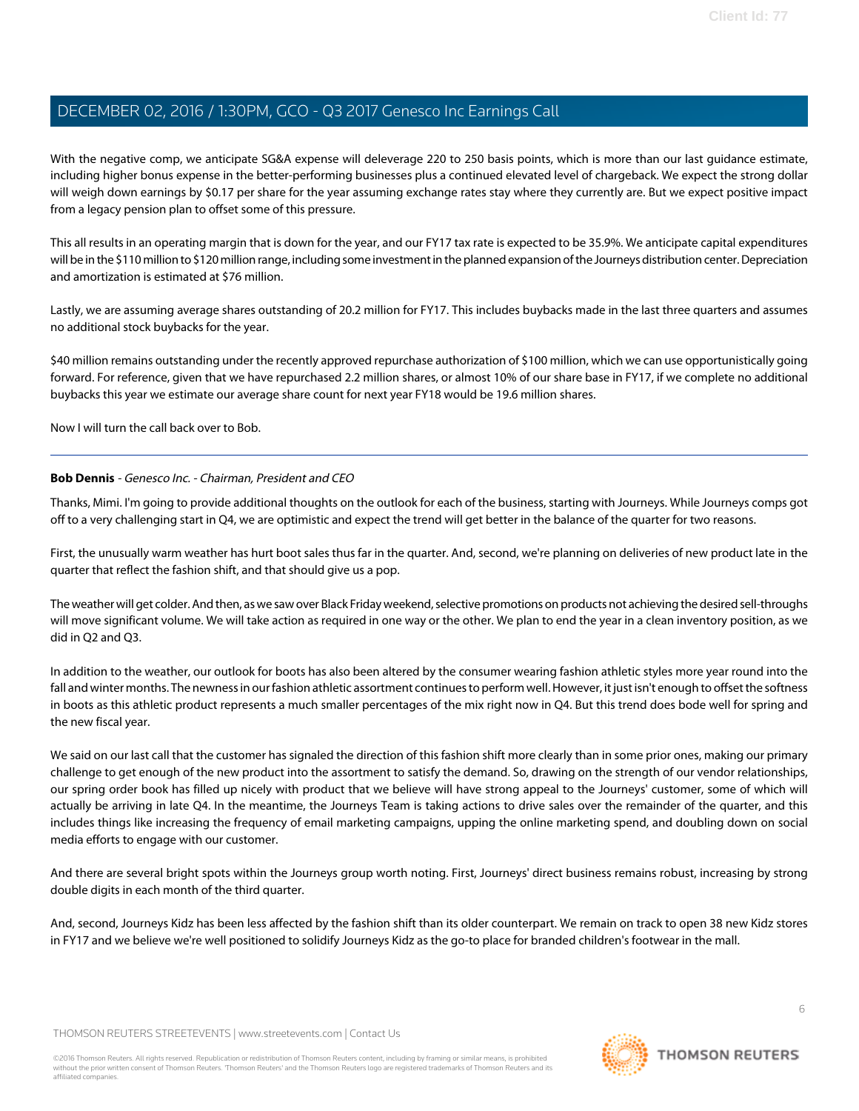With the negative comp, we anticipate SG&A expense will deleverage 220 to 250 basis points, which is more than our last guidance estimate, including higher bonus expense in the better-performing businesses plus a continued elevated level of chargeback. We expect the strong dollar will weigh down earnings by \$0.17 per share for the year assuming exchange rates stay where they currently are. But we expect positive impact from a legacy pension plan to offset some of this pressure.

This all results in an operating margin that is down for the year, and our FY17 tax rate is expected to be 35.9%. We anticipate capital expenditures will be in the \$110 million to \$120 million range, including some investment in the planned expansion of the Journeys distribution center. Depreciation and amortization is estimated at \$76 million.

Lastly, we are assuming average shares outstanding of 20.2 million for FY17. This includes buybacks made in the last three quarters and assumes no additional stock buybacks for the year.

\$40 million remains outstanding under the recently approved repurchase authorization of \$100 million, which we can use opportunistically going forward. For reference, given that we have repurchased 2.2 million shares, or almost 10% of our share base in FY17, if we complete no additional buybacks this year we estimate our average share count for next year FY18 would be 19.6 million shares.

Now I will turn the call back over to Bob.

#### **Bob Dennis** - Genesco Inc. - Chairman, President and CEO

Thanks, Mimi. I'm going to provide additional thoughts on the outlook for each of the business, starting with Journeys. While Journeys comps got off to a very challenging start in Q4, we are optimistic and expect the trend will get better in the balance of the quarter for two reasons.

First, the unusually warm weather has hurt boot sales thus far in the quarter. And, second, we're planning on deliveries of new product late in the quarter that reflect the fashion shift, and that should give us a pop.

The weather will get colder. And then, as we saw over Black Friday weekend, selective promotions on products not achieving the desired sell-throughs will move significant volume. We will take action as required in one way or the other. We plan to end the year in a clean inventory position, as we did in Q2 and Q3.

In addition to the weather, our outlook for boots has also been altered by the consumer wearing fashion athletic styles more year round into the fall and winter months. The newness in our fashion athletic assortment continues to perform well. However, it just isn't enough to offset the softness in boots as this athletic product represents a much smaller percentages of the mix right now in Q4. But this trend does bode well for spring and the new fiscal year.

We said on our last call that the customer has signaled the direction of this fashion shift more clearly than in some prior ones, making our primary challenge to get enough of the new product into the assortment to satisfy the demand. So, drawing on the strength of our vendor relationships, our spring order book has filled up nicely with product that we believe will have strong appeal to the Journeys' customer, some of which will actually be arriving in late Q4. In the meantime, the Journeys Team is taking actions to drive sales over the remainder of the quarter, and this includes things like increasing the frequency of email marketing campaigns, upping the online marketing spend, and doubling down on social media efforts to engage with our customer.

And there are several bright spots within the Journeys group worth noting. First, Journeys' direct business remains robust, increasing by strong double digits in each month of the third quarter.

And, second, Journeys Kidz has been less affected by the fashion shift than its older counterpart. We remain on track to open 38 new Kidz stores in FY17 and we believe we're well positioned to solidify Journeys Kidz as the go-to place for branded children's footwear in the mall.

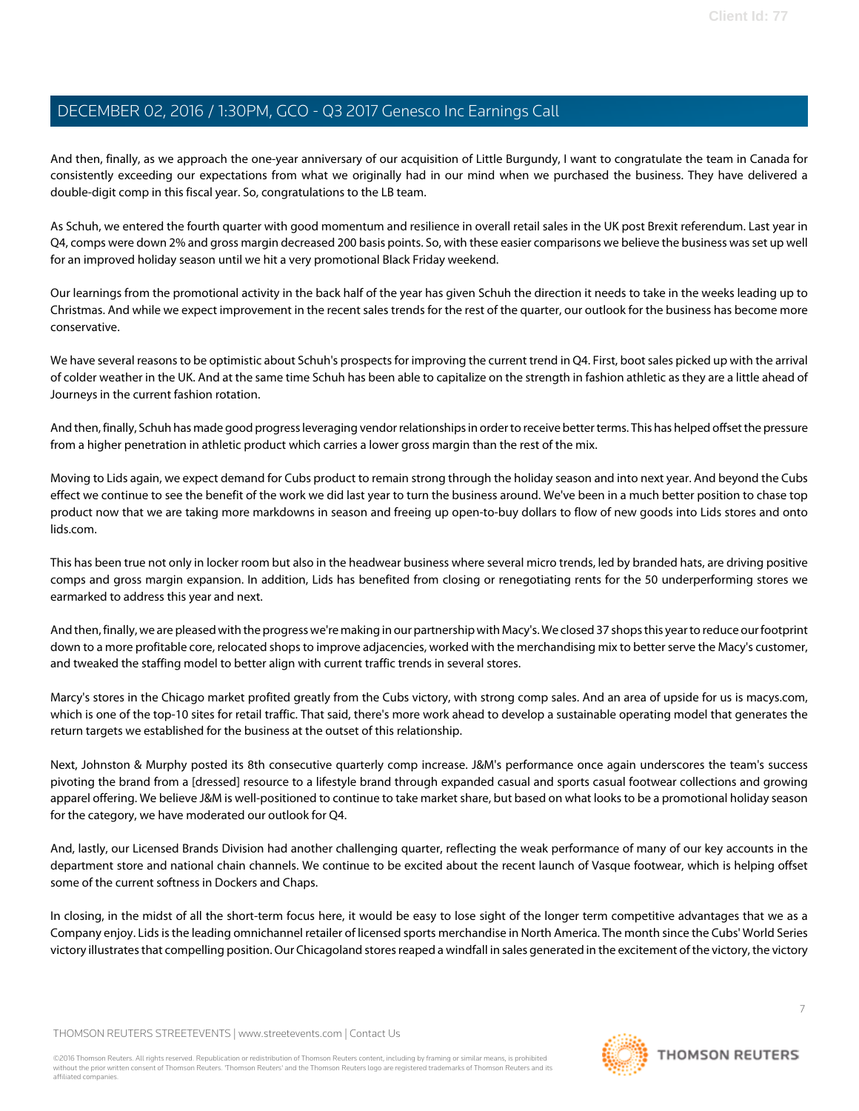And then, finally, as we approach the one-year anniversary of our acquisition of Little Burgundy, I want to congratulate the team in Canada for consistently exceeding our expectations from what we originally had in our mind when we purchased the business. They have delivered a double-digit comp in this fiscal year. So, congratulations to the LB team.

As Schuh, we entered the fourth quarter with good momentum and resilience in overall retail sales in the UK post Brexit referendum. Last year in Q4, comps were down 2% and gross margin decreased 200 basis points. So, with these easier comparisons we believe the business was set up well for an improved holiday season until we hit a very promotional Black Friday weekend.

Our learnings from the promotional activity in the back half of the year has given Schuh the direction it needs to take in the weeks leading up to Christmas. And while we expect improvement in the recent sales trends for the rest of the quarter, our outlook for the business has become more conservative.

We have several reasons to be optimistic about Schuh's prospects for improving the current trend in Q4. First, boot sales picked up with the arrival of colder weather in the UK. And at the same time Schuh has been able to capitalize on the strength in fashion athletic as they are a little ahead of Journeys in the current fashion rotation.

And then, finally, Schuh has made good progress leveraging vendor relationships in order to receive better terms. This has helped offset the pressure from a higher penetration in athletic product which carries a lower gross margin than the rest of the mix.

Moving to Lids again, we expect demand for Cubs product to remain strong through the holiday season and into next year. And beyond the Cubs effect we continue to see the benefit of the work we did last year to turn the business around. We've been in a much better position to chase top product now that we are taking more markdowns in season and freeing up open-to-buy dollars to flow of new goods into Lids stores and onto lids.com.

This has been true not only in locker room but also in the headwear business where several micro trends, led by branded hats, are driving positive comps and gross margin expansion. In addition, Lids has benefited from closing or renegotiating rents for the 50 underperforming stores we earmarked to address this year and next.

And then, finally, we are pleased with the progress we're making in our partnership with Macy's. We closed 37 shops this year to reduce our footprint down to a more profitable core, relocated shops to improve adjacencies, worked with the merchandising mix to better serve the Macy's customer, and tweaked the staffing model to better align with current traffic trends in several stores.

Marcy's stores in the Chicago market profited greatly from the Cubs victory, with strong comp sales. And an area of upside for us is macys.com, which is one of the top-10 sites for retail traffic. That said, there's more work ahead to develop a sustainable operating model that generates the return targets we established for the business at the outset of this relationship.

Next, Johnston & Murphy posted its 8th consecutive quarterly comp increase. J&M's performance once again underscores the team's success pivoting the brand from a [dressed] resource to a lifestyle brand through expanded casual and sports casual footwear collections and growing apparel offering. We believe J&M is well-positioned to continue to take market share, but based on what looks to be a promotional holiday season for the category, we have moderated our outlook for Q4.

And, lastly, our Licensed Brands Division had another challenging quarter, reflecting the weak performance of many of our key accounts in the department store and national chain channels. We continue to be excited about the recent launch of Vasque footwear, which is helping offset some of the current softness in Dockers and Chaps.

In closing, in the midst of all the short-term focus here, it would be easy to lose sight of the longer term competitive advantages that we as a Company enjoy. Lids is the leading omnichannel retailer of licensed sports merchandise in North America. The month since the Cubs' World Series victory illustrates that compelling position. Our Chicagoland stores reaped a windfall in sales generated in the excitement of the victory, the victory

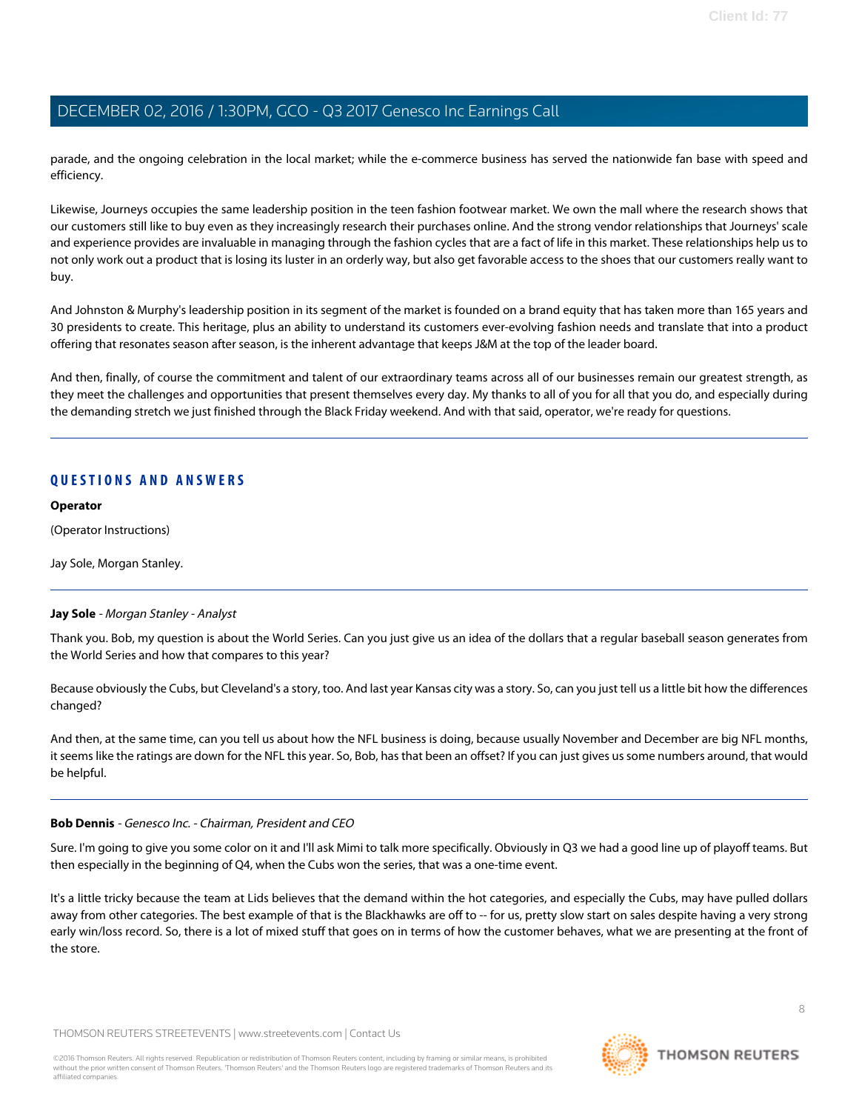parade, and the ongoing celebration in the local market; while the e-commerce business has served the nationwide fan base with speed and efficiency.

Likewise, Journeys occupies the same leadership position in the teen fashion footwear market. We own the mall where the research shows that our customers still like to buy even as they increasingly research their purchases online. And the strong vendor relationships that Journeys' scale and experience provides are invaluable in managing through the fashion cycles that are a fact of life in this market. These relationships help us to not only work out a product that is losing its luster in an orderly way, but also get favorable access to the shoes that our customers really want to buy.

And Johnston & Murphy's leadership position in its segment of the market is founded on a brand equity that has taken more than 165 years and 30 presidents to create. This heritage, plus an ability to understand its customers ever-evolving fashion needs and translate that into a product offering that resonates season after season, is the inherent advantage that keeps J&M at the top of the leader board.

And then, finally, of course the commitment and talent of our extraordinary teams across all of our businesses remain our greatest strength, as they meet the challenges and opportunities that present themselves every day. My thanks to all of you for all that you do, and especially during the demanding stretch we just finished through the Black Friday weekend. And with that said, operator, we're ready for questions.

#### **QUESTIONS AND ANSWERS**

#### **Operator**

(Operator Instructions)

<span id="page-7-0"></span>Jay Sole, Morgan Stanley.

#### **Jay Sole** - Morgan Stanley - Analyst

Thank you. Bob, my question is about the World Series. Can you just give us an idea of the dollars that a regular baseball season generates from the World Series and how that compares to this year?

Because obviously the Cubs, but Cleveland's a story, too. And last year Kansas city was a story. So, can you just tell us a little bit how the differences changed?

And then, at the same time, can you tell us about how the NFL business is doing, because usually November and December are big NFL months, it seems like the ratings are down for the NFL this year. So, Bob, has that been an offset? If you can just gives us some numbers around, that would be helpful.

#### **Bob Dennis** - Genesco Inc. - Chairman, President and CEO

Sure. I'm going to give you some color on it and I'll ask Mimi to talk more specifically. Obviously in Q3 we had a good line up of playoff teams. But then especially in the beginning of Q4, when the Cubs won the series, that was a one-time event.

It's a little tricky because the team at Lids believes that the demand within the hot categories, and especially the Cubs, may have pulled dollars away from other categories. The best example of that is the Blackhawks are off to -- for us, pretty slow start on sales despite having a very strong early win/loss record. So, there is a lot of mixed stuff that goes on in terms of how the customer behaves, what we are presenting at the front of the store.

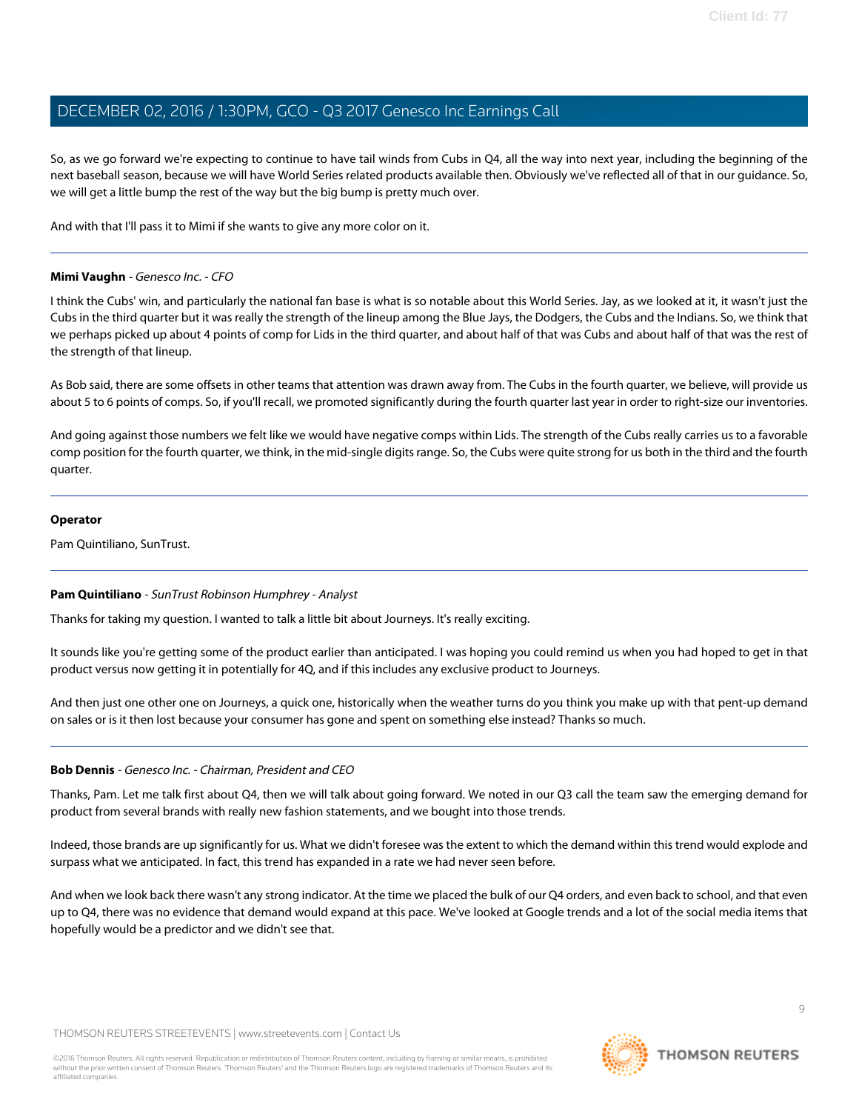So, as we go forward we're expecting to continue to have tail winds from Cubs in Q4, all the way into next year, including the beginning of the next baseball season, because we will have World Series related products available then. Obviously we've reflected all of that in our guidance. So, we will get a little bump the rest of the way but the big bump is pretty much over.

And with that I'll pass it to Mimi if she wants to give any more color on it.

#### **Mimi Vaughn** - Genesco Inc. - CFO

I think the Cubs' win, and particularly the national fan base is what is so notable about this World Series. Jay, as we looked at it, it wasn't just the Cubs in the third quarter but it was really the strength of the lineup among the Blue Jays, the Dodgers, the Cubs and the Indians. So, we think that we perhaps picked up about 4 points of comp for Lids in the third quarter, and about half of that was Cubs and about half of that was the rest of the strength of that lineup.

As Bob said, there are some offsets in other teams that attention was drawn away from. The Cubs in the fourth quarter, we believe, will provide us about 5 to 6 points of comps. So, if you'll recall, we promoted significantly during the fourth quarter last year in order to right-size our inventories.

And going against those numbers we felt like we would have negative comps within Lids. The strength of the Cubs really carries us to a favorable comp position for the fourth quarter, we think, in the mid-single digits range. So, the Cubs were quite strong for us both in the third and the fourth quarter.

#### **Operator**

<span id="page-8-0"></span>Pam Quintiliano, SunTrust.

#### **Pam Quintiliano** - SunTrust Robinson Humphrey - Analyst

Thanks for taking my question. I wanted to talk a little bit about Journeys. It's really exciting.

It sounds like you're getting some of the product earlier than anticipated. I was hoping you could remind us when you had hoped to get in that product versus now getting it in potentially for 4Q, and if this includes any exclusive product to Journeys.

And then just one other one on Journeys, a quick one, historically when the weather turns do you think you make up with that pent-up demand on sales or is it then lost because your consumer has gone and spent on something else instead? Thanks so much.

#### **Bob Dennis** - Genesco Inc. - Chairman, President and CEO

Thanks, Pam. Let me talk first about Q4, then we will talk about going forward. We noted in our Q3 call the team saw the emerging demand for product from several brands with really new fashion statements, and we bought into those trends.

Indeed, those brands are up significantly for us. What we didn't foresee was the extent to which the demand within this trend would explode and surpass what we anticipated. In fact, this trend has expanded in a rate we had never seen before.

And when we look back there wasn't any strong indicator. At the time we placed the bulk of our Q4 orders, and even back to school, and that even up to Q4, there was no evidence that demand would expand at this pace. We've looked at Google trends and a lot of the social media items that hopefully would be a predictor and we didn't see that.

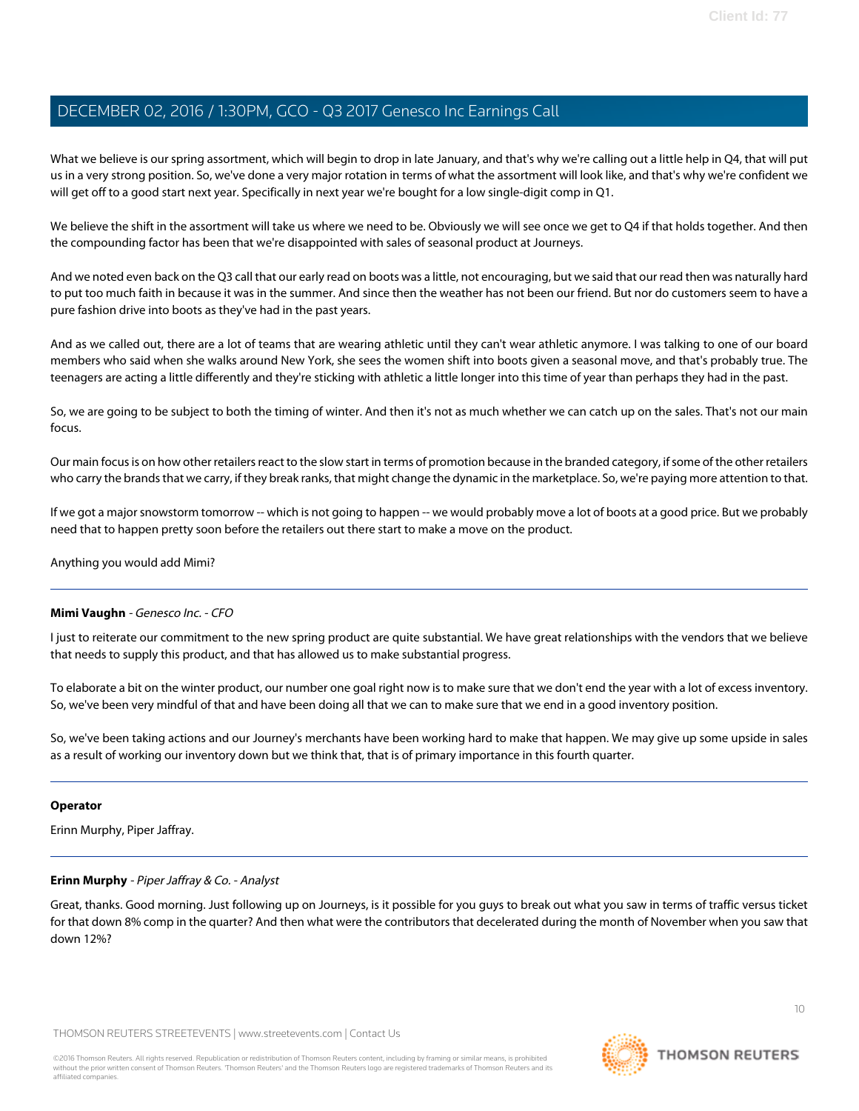What we believe is our spring assortment, which will begin to drop in late January, and that's why we're calling out a little help in Q4, that will put us in a very strong position. So, we've done a very major rotation in terms of what the assortment will look like, and that's why we're confident we will get off to a good start next year. Specifically in next year we're bought for a low single-digit comp in Q1.

We believe the shift in the assortment will take us where we need to be. Obviously we will see once we get to Q4 if that holds together. And then the compounding factor has been that we're disappointed with sales of seasonal product at Journeys.

And we noted even back on the Q3 call that our early read on boots was a little, not encouraging, but we said that our read then was naturally hard to put too much faith in because it was in the summer. And since then the weather has not been our friend. But nor do customers seem to have a pure fashion drive into boots as they've had in the past years.

And as we called out, there are a lot of teams that are wearing athletic until they can't wear athletic anymore. I was talking to one of our board members who said when she walks around New York, she sees the women shift into boots given a seasonal move, and that's probably true. The teenagers are acting a little differently and they're sticking with athletic a little longer into this time of year than perhaps they had in the past.

So, we are going to be subject to both the timing of winter. And then it's not as much whether we can catch up on the sales. That's not our main focus.

Our main focus is on how other retailers react to the slow start in terms of promotion because in the branded category, if some of the other retailers who carry the brands that we carry, if they break ranks, that might change the dynamic in the marketplace. So, we're paying more attention to that.

If we got a major snowstorm tomorrow -- which is not going to happen -- we would probably move a lot of boots at a good price. But we probably need that to happen pretty soon before the retailers out there start to make a move on the product.

Anything you would add Mimi?

#### **Mimi Vaughn** - Genesco Inc. - CFO

I just to reiterate our commitment to the new spring product are quite substantial. We have great relationships with the vendors that we believe that needs to supply this product, and that has allowed us to make substantial progress.

To elaborate a bit on the winter product, our number one goal right now is to make sure that we don't end the year with a lot of excess inventory. So, we've been very mindful of that and have been doing all that we can to make sure that we end in a good inventory position.

So, we've been taking actions and our Journey's merchants have been working hard to make that happen. We may give up some upside in sales as a result of working our inventory down but we think that, that is of primary importance in this fourth quarter.

#### <span id="page-9-0"></span>**Operator**

Erinn Murphy, Piper Jaffray.

#### **Erinn Murphy** - Piper Jaffray & Co. - Analyst

Great, thanks. Good morning. Just following up on Journeys, is it possible for you guys to break out what you saw in terms of traffic versus ticket for that down 8% comp in the quarter? And then what were the contributors that decelerated during the month of November when you saw that down 12%?

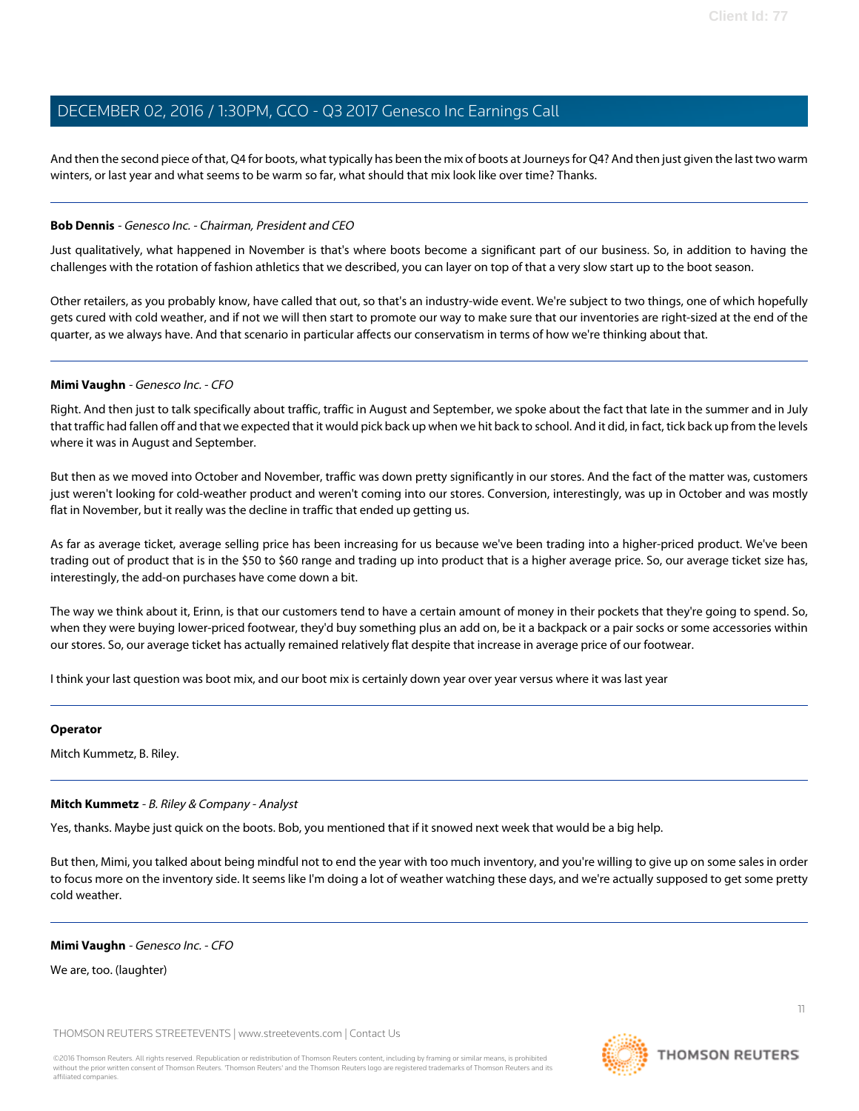And then the second piece of that, Q4 for boots, what typically has been the mix of boots at Journeys for Q4? And then just given the last two warm winters, or last year and what seems to be warm so far, what should that mix look like over time? Thanks.

#### **Bob Dennis** - Genesco Inc. - Chairman, President and CEO

Just qualitatively, what happened in November is that's where boots become a significant part of our business. So, in addition to having the challenges with the rotation of fashion athletics that we described, you can layer on top of that a very slow start up to the boot season.

Other retailers, as you probably know, have called that out, so that's an industry-wide event. We're subject to two things, one of which hopefully gets cured with cold weather, and if not we will then start to promote our way to make sure that our inventories are right-sized at the end of the quarter, as we always have. And that scenario in particular affects our conservatism in terms of how we're thinking about that.

#### **Mimi Vaughn** - Genesco Inc. - CFO

Right. And then just to talk specifically about traffic, traffic in August and September, we spoke about the fact that late in the summer and in July that traffic had fallen off and that we expected that it would pick back up when we hit back to school. And it did, in fact, tick back up from the levels where it was in August and September.

But then as we moved into October and November, traffic was down pretty significantly in our stores. And the fact of the matter was, customers just weren't looking for cold-weather product and weren't coming into our stores. Conversion, interestingly, was up in October and was mostly flat in November, but it really was the decline in traffic that ended up getting us.

As far as average ticket, average selling price has been increasing for us because we've been trading into a higher-priced product. We've been trading out of product that is in the \$50 to \$60 range and trading up into product that is a higher average price. So, our average ticket size has, interestingly, the add-on purchases have come down a bit.

The way we think about it, Erinn, is that our customers tend to have a certain amount of money in their pockets that they're going to spend. So, when they were buying lower-priced footwear, they'd buy something plus an add on, be it a backpack or a pair socks or some accessories within our stores. So, our average ticket has actually remained relatively flat despite that increase in average price of our footwear.

I think your last question was boot mix, and our boot mix is certainly down year over year versus where it was last year

#### <span id="page-10-0"></span>**Operator**

Mitch Kummetz, B. Riley.

#### **Mitch Kummetz** - B. Riley & Company - Analyst

Yes, thanks. Maybe just quick on the boots. Bob, you mentioned that if it snowed next week that would be a big help.

But then, Mimi, you talked about being mindful not to end the year with too much inventory, and you're willing to give up on some sales in order to focus more on the inventory side. It seems like I'm doing a lot of weather watching these days, and we're actually supposed to get some pretty cold weather.

**Mimi Vaughn** - Genesco Inc. - CFO

We are, too. (laughter)

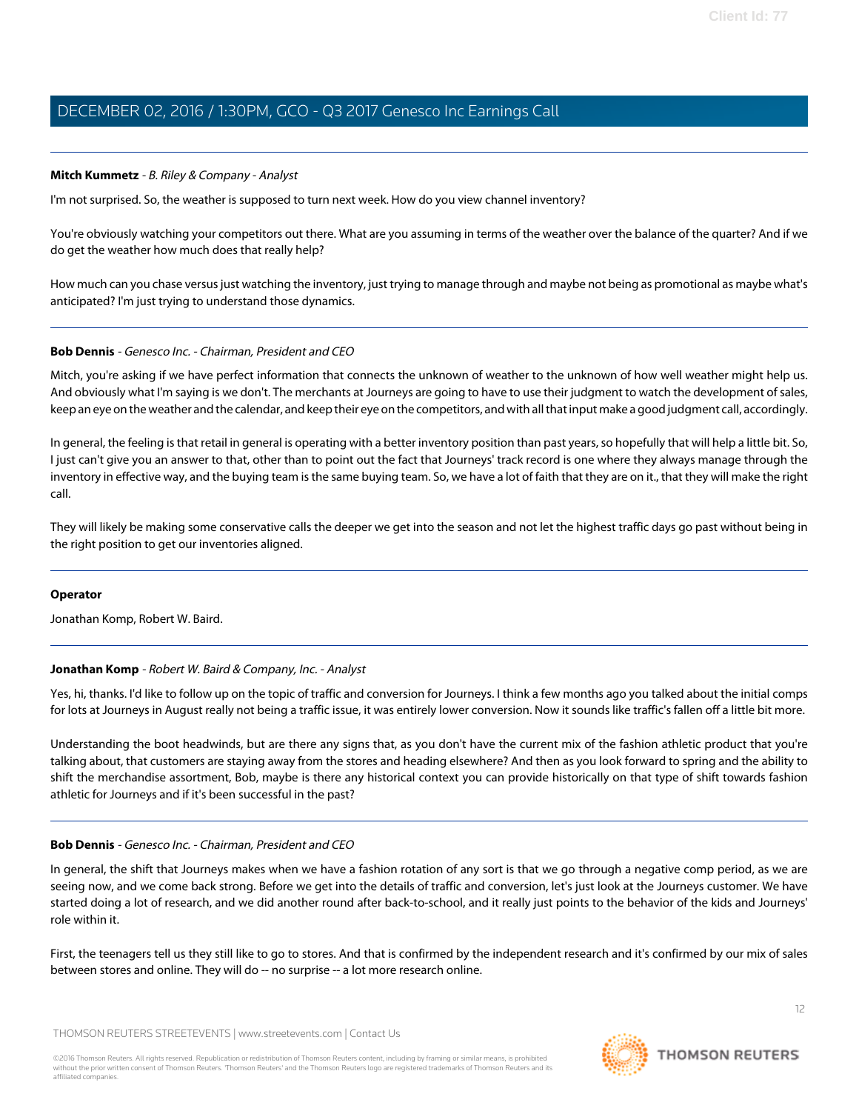#### **Mitch Kummetz** - B. Riley & Company - Analyst

I'm not surprised. So, the weather is supposed to turn next week. How do you view channel inventory?

You're obviously watching your competitors out there. What are you assuming in terms of the weather over the balance of the quarter? And if we do get the weather how much does that really help?

How much can you chase versus just watching the inventory, just trying to manage through and maybe not being as promotional as maybe what's anticipated? I'm just trying to understand those dynamics.

#### **Bob Dennis** - Genesco Inc. - Chairman, President and CEO

Mitch, you're asking if we have perfect information that connects the unknown of weather to the unknown of how well weather might help us. And obviously what I'm saying is we don't. The merchants at Journeys are going to have to use their judgment to watch the development of sales, keep an eye on the weather and the calendar, and keep their eye on the competitors, and with all that input make a good judgment call, accordingly.

In general, the feeling is that retail in general is operating with a better inventory position than past years, so hopefully that will help a little bit. So, I just can't give you an answer to that, other than to point out the fact that Journeys' track record is one where they always manage through the inventory in effective way, and the buying team is the same buying team. So, we have a lot of faith that they are on it., that they will make the right call.

They will likely be making some conservative calls the deeper we get into the season and not let the highest traffic days go past without being in the right position to get our inventories aligned.

#### <span id="page-11-0"></span>**Operator**

Jonathan Komp, Robert W. Baird.

#### **Jonathan Komp** - Robert W. Baird & Company, Inc. - Analyst

Yes, hi, thanks. I'd like to follow up on the topic of traffic and conversion for Journeys. I think a few months ago you talked about the initial comps for lots at Journeys in August really not being a traffic issue, it was entirely lower conversion. Now it sounds like traffic's fallen off a little bit more.

Understanding the boot headwinds, but are there any signs that, as you don't have the current mix of the fashion athletic product that you're talking about, that customers are staying away from the stores and heading elsewhere? And then as you look forward to spring and the ability to shift the merchandise assortment, Bob, maybe is there any historical context you can provide historically on that type of shift towards fashion athletic for Journeys and if it's been successful in the past?

#### **Bob Dennis** - Genesco Inc. - Chairman, President and CEO

In general, the shift that Journeys makes when we have a fashion rotation of any sort is that we go through a negative comp period, as we are seeing now, and we come back strong. Before we get into the details of traffic and conversion, let's just look at the Journeys customer. We have started doing a lot of research, and we did another round after back-to-school, and it really just points to the behavior of the kids and Journeys' role within it.

First, the teenagers tell us they still like to go to stores. And that is confirmed by the independent research and it's confirmed by our mix of sales between stores and online. They will do -- no surprise -- a lot more research online.

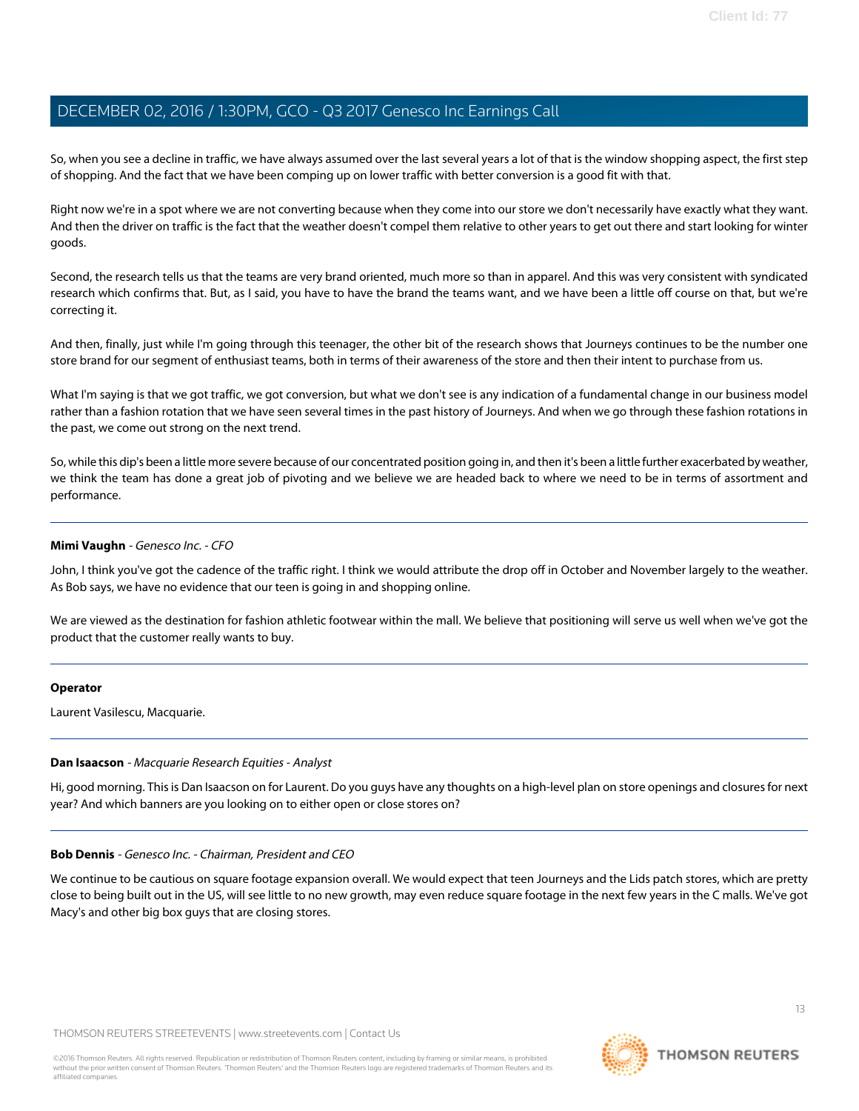So, when you see a decline in traffic, we have always assumed over the last several years a lot of that is the window shopping aspect, the first step of shopping. And the fact that we have been comping up on lower traffic with better conversion is a good fit with that.

Right now we're in a spot where we are not converting because when they come into our store we don't necessarily have exactly what they want. And then the driver on traffic is the fact that the weather doesn't compel them relative to other years to get out there and start looking for winter goods.

Second, the research tells us that the teams are very brand oriented, much more so than in apparel. And this was very consistent with syndicated research which confirms that. But, as I said, you have to have the brand the teams want, and we have been a little off course on that, but we're correcting it.

And then, finally, just while I'm going through this teenager, the other bit of the research shows that Journeys continues to be the number one store brand for our segment of enthusiast teams, both in terms of their awareness of the store and then their intent to purchase from us.

What I'm saying is that we got traffic, we got conversion, but what we don't see is any indication of a fundamental change in our business model rather than a fashion rotation that we have seen several times in the past history of Journeys. And when we go through these fashion rotations in the past, we come out strong on the next trend.

So, while this dip's been a little more severe because of our concentrated position going in, and then it's been a little further exacerbated by weather, we think the team has done a great job of pivoting and we believe we are headed back to where we need to be in terms of assortment and performance.

#### **Mimi Vaughn** - Genesco Inc. - CFO

John, I think you've got the cadence of the traffic right. I think we would attribute the drop off in October and November largely to the weather. As Bob says, we have no evidence that our teen is going in and shopping online.

We are viewed as the destination for fashion athletic footwear within the mall. We believe that positioning will serve us well when we've got the product that the customer really wants to buy.

#### <span id="page-12-0"></span>**Operator**

Laurent Vasilescu, Macquarie.

#### **Dan Isaacson** - Macquarie Research Equities - Analyst

Hi, good morning. This is Dan Isaacson on for Laurent. Do you guys have any thoughts on a high-level plan on store openings and closures for next year? And which banners are you looking on to either open or close stores on?

#### **Bob Dennis** - Genesco Inc. - Chairman, President and CEO

We continue to be cautious on square footage expansion overall. We would expect that teen Journeys and the Lids patch stores, which are pretty close to being built out in the US, will see little to no new growth, may even reduce square footage in the next few years in the C malls. We've got Macy's and other big box guys that are closing stores.

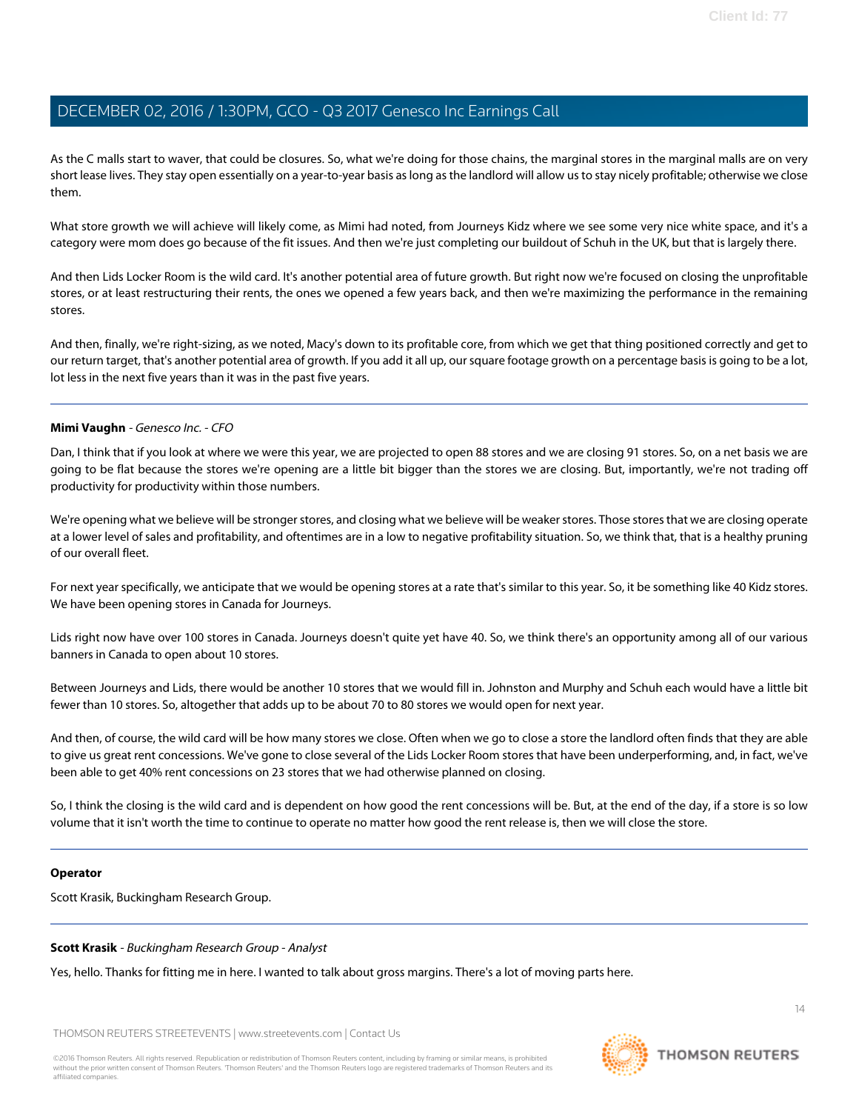As the C malls start to waver, that could be closures. So, what we're doing for those chains, the marginal stores in the marginal malls are on very short lease lives. They stay open essentially on a year-to-year basis as long as the landlord will allow us to stay nicely profitable; otherwise we close them.

What store growth we will achieve will likely come, as Mimi had noted, from Journeys Kidz where we see some very nice white space, and it's a category were mom does go because of the fit issues. And then we're just completing our buildout of Schuh in the UK, but that is largely there.

And then Lids Locker Room is the wild card. It's another potential area of future growth. But right now we're focused on closing the unprofitable stores, or at least restructuring their rents, the ones we opened a few years back, and then we're maximizing the performance in the remaining stores.

And then, finally, we're right-sizing, as we noted, Macy's down to its profitable core, from which we get that thing positioned correctly and get to our return target, that's another potential area of growth. If you add it all up, our square footage growth on a percentage basis is going to be a lot, lot less in the next five years than it was in the past five years.

#### **Mimi Vaughn** - Genesco Inc. - CFO

Dan, I think that if you look at where we were this year, we are projected to open 88 stores and we are closing 91 stores. So, on a net basis we are going to be flat because the stores we're opening are a little bit bigger than the stores we are closing. But, importantly, we're not trading off productivity for productivity within those numbers.

We're opening what we believe will be stronger stores, and closing what we believe will be weaker stores. Those stores that we are closing operate at a lower level of sales and profitability, and oftentimes are in a low to negative profitability situation. So, we think that, that is a healthy pruning of our overall fleet.

For next year specifically, we anticipate that we would be opening stores at a rate that's similar to this year. So, it be something like 40 Kidz stores. We have been opening stores in Canada for Journeys.

Lids right now have over 100 stores in Canada. Journeys doesn't quite yet have 40. So, we think there's an opportunity among all of our various banners in Canada to open about 10 stores.

Between Journeys and Lids, there would be another 10 stores that we would fill in. Johnston and Murphy and Schuh each would have a little bit fewer than 10 stores. So, altogether that adds up to be about 70 to 80 stores we would open for next year.

And then, of course, the wild card will be how many stores we close. Often when we go to close a store the landlord often finds that they are able to give us great rent concessions. We've gone to close several of the Lids Locker Room stores that have been underperforming, and, in fact, we've been able to get 40% rent concessions on 23 stores that we had otherwise planned on closing.

So, I think the closing is the wild card and is dependent on how good the rent concessions will be. But, at the end of the day, if a store is so low volume that it isn't worth the time to continue to operate no matter how good the rent release is, then we will close the store.

#### <span id="page-13-0"></span>**Operator**

Scott Krasik, Buckingham Research Group.

#### **Scott Krasik** - Buckingham Research Group - Analyst

Yes, hello. Thanks for fitting me in here. I wanted to talk about gross margins. There's a lot of moving parts here.

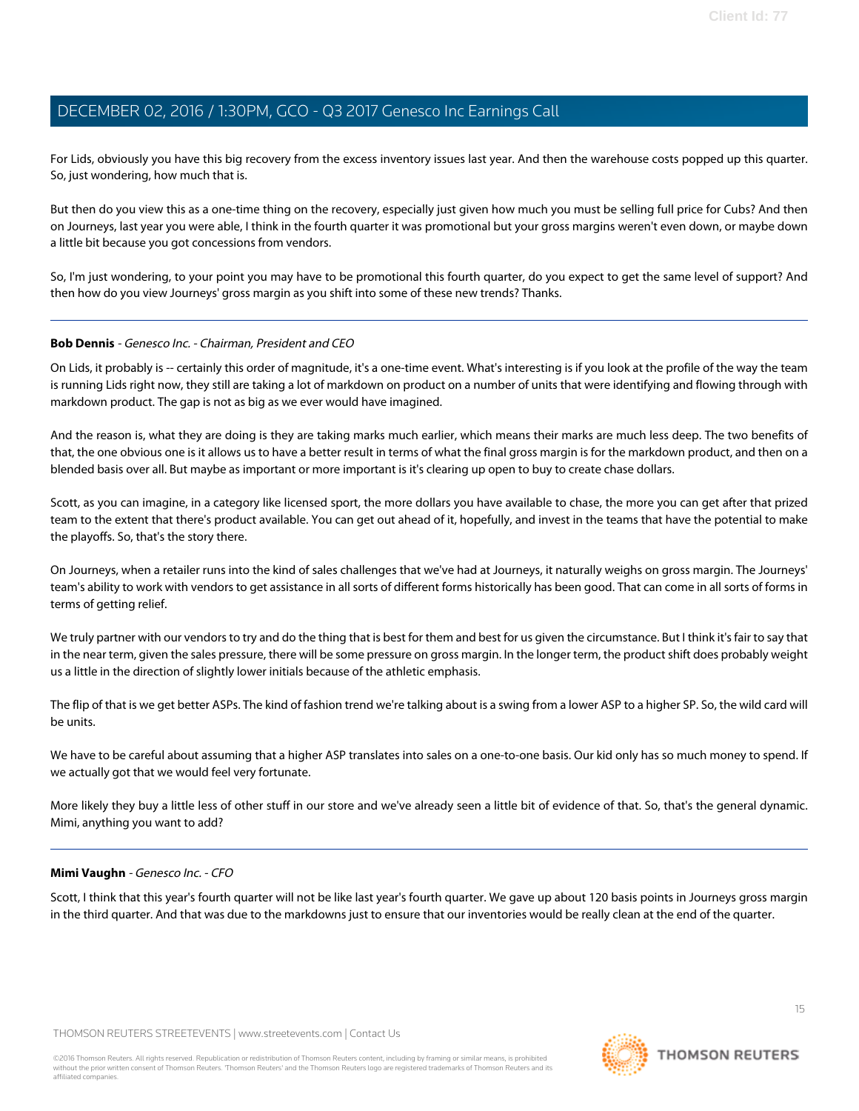For Lids, obviously you have this big recovery from the excess inventory issues last year. And then the warehouse costs popped up this quarter. So, just wondering, how much that is.

But then do you view this as a one-time thing on the recovery, especially just given how much you must be selling full price for Cubs? And then on Journeys, last year you were able, I think in the fourth quarter it was promotional but your gross margins weren't even down, or maybe down a little bit because you got concessions from vendors.

So, I'm just wondering, to your point you may have to be promotional this fourth quarter, do you expect to get the same level of support? And then how do you view Journeys' gross margin as you shift into some of these new trends? Thanks.

#### **Bob Dennis** - Genesco Inc. - Chairman, President and CEO

On Lids, it probably is -- certainly this order of magnitude, it's a one-time event. What's interesting is if you look at the profile of the way the team is running Lids right now, they still are taking a lot of markdown on product on a number of units that were identifying and flowing through with markdown product. The gap is not as big as we ever would have imagined.

And the reason is, what they are doing is they are taking marks much earlier, which means their marks are much less deep. The two benefits of that, the one obvious one is it allows us to have a better result in terms of what the final gross margin is for the markdown product, and then on a blended basis over all. But maybe as important or more important is it's clearing up open to buy to create chase dollars.

Scott, as you can imagine, in a category like licensed sport, the more dollars you have available to chase, the more you can get after that prized team to the extent that there's product available. You can get out ahead of it, hopefully, and invest in the teams that have the potential to make the playoffs. So, that's the story there.

On Journeys, when a retailer runs into the kind of sales challenges that we've had at Journeys, it naturally weighs on gross margin. The Journeys' team's ability to work with vendors to get assistance in all sorts of different forms historically has been good. That can come in all sorts of forms in terms of getting relief.

We truly partner with our vendors to try and do the thing that is best for them and best for us given the circumstance. But I think it's fair to say that in the near term, given the sales pressure, there will be some pressure on gross margin. In the longer term, the product shift does probably weight us a little in the direction of slightly lower initials because of the athletic emphasis.

The flip of that is we get better ASPs. The kind of fashion trend we're talking about is a swing from a lower ASP to a higher SP. So, the wild card will be units.

We have to be careful about assuming that a higher ASP translates into sales on a one-to-one basis. Our kid only has so much money to spend. If we actually got that we would feel very fortunate.

More likely they buy a little less of other stuff in our store and we've already seen a little bit of evidence of that. So, that's the general dynamic. Mimi, anything you want to add?

#### **Mimi Vaughn** - Genesco Inc. - CFO

Scott, I think that this year's fourth quarter will not be like last year's fourth quarter. We gave up about 120 basis points in Journeys gross margin in the third quarter. And that was due to the markdowns just to ensure that our inventories would be really clean at the end of the quarter.